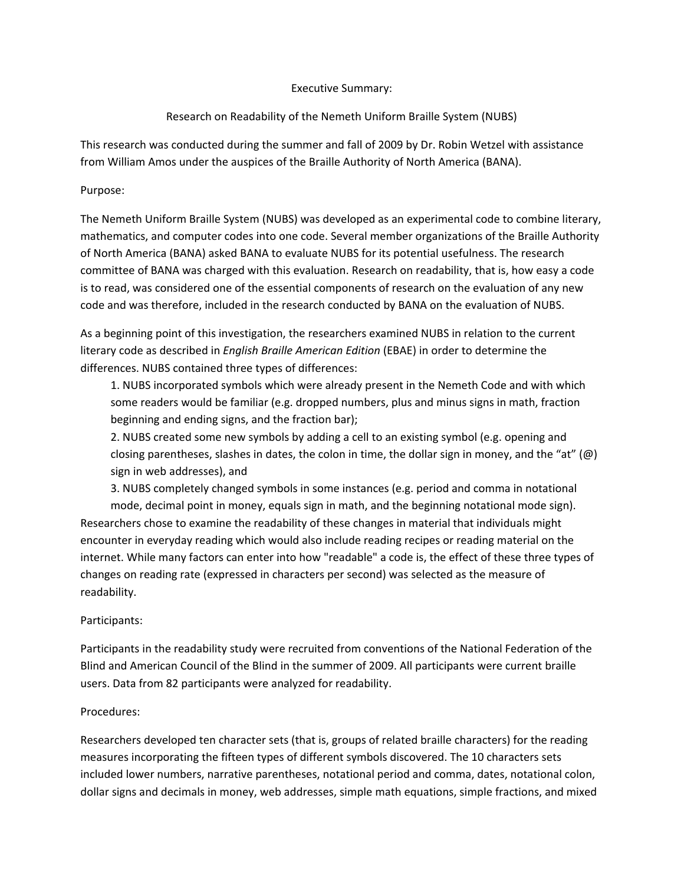#### Executive Summary:

# Research on Readability of the Nemeth Uniform Braille System (NUBS)

This research was conducted during the summer and fall of 2009 by Dr. Robin Wetzel with assistance from William Amos under the auspices of the Braille Authority of North America (BANA).

#### Purpose:

The Nemeth Uniform Braille System (NUBS) was developed as an experimental code to combine literary, mathematics, and computer codes into one code. Several member organizations of the Braille Authority of North America (BANA) asked BANA to evaluate NUBS for its potential usefulness. The research committee of BANA was charged with this evaluation. Research on readability, that is, how easy a code is to read, was considered one of the essential components of research on the evaluation of any new code and was therefore, included in the research conducted by BANA on the evaluation of NUBS.

As a beginning point of this investigation, the researchers examined NUBS in relation to the current literary code as described in *English Braille American Edition* (EBAE) in order to determine the differences. NUBS contained three types of differences:

1. NUBS incorporated symbols which were already present in the Nemeth Code and with which some readers would be familiar (e.g. dropped numbers, plus and minus signs in math, fraction beginning and ending signs, and the fraction bar);

2. NUBS created some new symbols by adding a cell to an existing symbol (e.g. opening and closing parentheses, slashes in dates, the colon in time, the dollar sign in money, and the "at"  $(\omega)$ sign in web addresses), and

3. NUBS completely changed symbols in some instances (e.g. period and comma in notational mode, decimal point in money, equals sign in math, and the beginning notational mode sign). Researchers chose to examine the readability of these changes in material that individuals might encounter in everyday reading which would also include reading recipes or reading material on the internet. While many factors can enter into how "readable" a code is, the effect of these three types of changes on reading rate (expressed in characters per second) was selected as the measure of readability.

# Participants:

Participants in the readability study were recruited from conventions of the National Federation of the Blind and American Council of the Blind in the summer of 2009. All participants were current braille users. Data from 82 participants were analyzed for readability.

#### Procedures:

Researchers developed ten character sets (that is, groups of related braille characters) for the reading measures incorporating the fifteen types of different symbols discovered. The 10 characters sets included lower numbers, narrative parentheses, notational period and comma, dates, notational colon, dollar signs and decimals in money, web addresses, simple math equations, simple fractions, and mixed